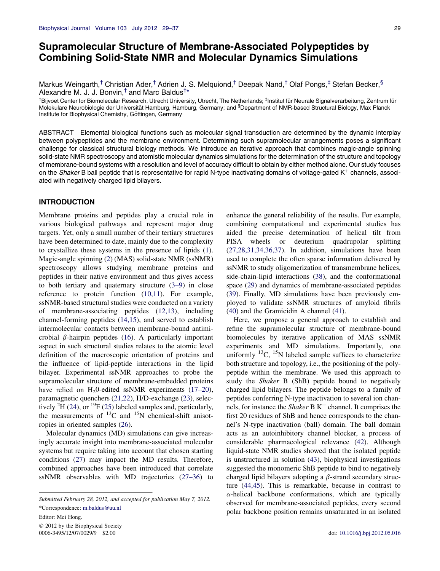# Supramolecular Structure of Membrane-Associated Polypeptides by Combining Solid-State NMR and Molecular Dynamics Simulations

Markus Weingarth,<sup>†</sup> Christian Ader,<sup>†</sup> Adrien J. S. Melquiond,<sup>†</sup> Deepak Nand,<sup>†</sup> Olaf Pongs,<sup>‡</sup> Stefan Becker.<sup>§</sup> Alexandre M. J. J. Bonvin,<sup>†</sup> and Marc Baldus<sup>†\*</sup>

<sup>†</sup>Bijvoet Center for Biomolecular Research, Utrecht University, Utrecht, The Netherlands; <sup>‡</sup>Institut für Neurale Signalverarbeitung, Zentrum für Molekulare Neurobiologie der Universität Hamburg, Hamburg, Germany; and <sup>§</sup>Department of NMR-based Structural Biology, Max Planck Institute for Biophysical Chemistry, Göttingen, Germany

ABSTRACT Elemental biological functions such as molecular signal transduction are determined by the dynamic interplay between polypeptides and the membrane environment. Determining such supramolecular arrangements poses a significant challenge for classical structural biology methods. We introduce an iterative approach that combines magic-angle spinning solid-state NMR spectroscopy and atomistic molecular dynamics simulations for the determination of the structure and topology of membrane-bound systems with a resolution and level of accuracy difficult to obtain by either method alone. Our study focuses on the *Shaker* B ball peptide that is representative for rapid N-type inactivating domains of voltage-gated  $K^+$  channels, associated with negatively charged lipid bilayers.

# INTRODUCTION

Membrane proteins and peptides play a crucial role in various biological pathways and represent major drug targets. Yet, only a small number of their tertiary structures have been determined to date, mainly due to the complexity to crystallize these systems in the presence of lipids ([1\)](#page-6-0). Magic-angle spinning [\(2](#page-6-0)) (MAS) solid-state NMR (ssNMR) spectroscopy allows studying membrane proteins and peptides in their native environment and thus gives access to both tertiary and quaternary structure [\(3–9](#page-6-0)) in close reference to protein function [\(10,11\)](#page-7-0). For example, ssNMR-based structural studies were conducted on a variety of membrane-associating peptides ([12,13](#page-7-0)), including channel-forming peptides ([14,15](#page-7-0)), and served to establish intermolecular contacts between membrane-bound antimicrobial  $\beta$ -hairpin peptides ([16\)](#page-7-0). A particularly important aspect in such structural studies relates to the atomic level definition of the macroscopic orientation of proteins and the influence of lipid-peptide interactions in the lipid bilayer. Experimental ssNMR approaches to probe the supramolecular structure of membrane-embedded proteins have relied on  $H_2$ 0-edited ssNMR experiments ([17–20\)](#page-7-0), paramagnetic quenchers [\(21,22\)](#page-7-0), H/D-exchange ([23\)](#page-7-0), selectively  ${}^{2}H$  [\(24](#page-7-0)), or  ${}^{19}F$  [\(25](#page-7-0)) labeled samples and, particularly, the measurements of  $^{13}C$  and  $^{15}N$  chemical-shift anisotropies in oriented samples [\(26](#page-7-0)).

Molecular dynamics (MD) simulations can give increasingly accurate insight into membrane-associated molecular systems but require taking into account that chosen starting conditions ([27\)](#page-7-0) may impact the MD results. Therefore, combined approaches have been introduced that correlate ssNMR observables with MD trajectories [\(27–36](#page-7-0)) to

Editor: Mei Hong.

 2012 by the Biophysical Society 0006-3495/12/07/0029/9 \$2.00 doi: [10.1016/j.bpj.2012.05.016](http://dx.doi.org/10.1016/j.bpj.2012.05.016)

enhance the general reliability of the results. For example, combining computational and experimental studies has aided the precise determination of helical tilt from PISA wheels or deuterium quadrupolar splitting  $(27,28,31,34,36,37)$  $(27,28,31,34,36,37)$  $(27,28,31,34,36,37)$ . In addition, simulations have been used to complete the often sparse information delivered by ssNMR to study oligomerization of transmembrane helices, side-chain-lipid interactions [\(38](#page-7-0)), and the conformational space [\(29](#page-7-0)) and dynamics of membrane-associated peptides ([39\)](#page-7-0). Finally, MD simulations have been previously employed to validate ssNMR structures of amyloid fibrils ([40\)](#page-7-0) and the Gramicidin A channel [\(41](#page-7-0)).

Here, we propose a general approach to establish and refine the supramolecular structure of membrane-bound biomolecules by iterative application of MAS ssNMR experiments and MD simulations. Importantly, one uniformly  $^{13}C$ ,  $^{15}N$  labeled sample suffices to characterize both structure and topology, i.e., the positioning of the polypeptide within the membrane. We used this approach to study the Shaker B (ShB) peptide bound to negatively charged lipid bilayers. The peptide belongs to a family of peptides conferring N-type inactivation to several ion channels, for instance the *Shaker* B  $K^+$  channel. It comprises the first 20 residues of ShB and hence corresponds to the channel's N-type inactivation (ball) domain. The ball domain acts as an autoinhibitory channel blocker, a process of considerable pharmacological relevance [\(42](#page-7-0)). Although liquid-state NMR studies showed that the isolated peptide is unstructured in solution [\(43](#page-8-0)), biophysical investigations suggested the monomeric ShB peptide to bind to negatively charged lipid bilayers adopting a  $\beta$ -strand secondary structure [\(44,45\)](#page-8-0). This is remarkable, because in contrast to  $\alpha$ -helical backbone conformations, which are typically observed for membrane-associated peptides, every second polar backbone position remains unsaturated in an isolated

Submitted February 28, 2012, and accepted for publication May 7, 2012. \*Correspondence: [m.baldus@uu.nl](mailto:m.baldus@uu.nl)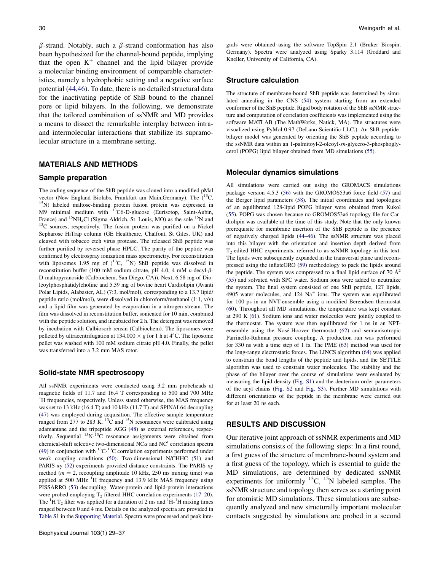$\beta$ -strand. Notably, such a  $\beta$ -strand conformation has also been hypothesized for the channel-bound peptide, implying that the open  $K^+$  channel and the lipid bilayer provide a molecular binding environment of comparable characteristics, namely a hydrophobic setting and a negative surface potential [\(44,46\)](#page-8-0). To date, there is no detailed structural data for the inactivating peptide of ShB bound to the channel pore or lipid bilayers. In the following, we demonstrate that the tailored combination of ssNMR and MD provides a means to dissect the remarkable interplay between intraand intermolecular interactions that stabilize its supramolecular structure in a membrane setting.

# MATERIALS AND METHODS

#### Sample preparation

The coding sequence of the ShB peptide was cloned into a modified pMal vector (New England Biolabs, Frankfurt am Main,Germany). The  $(^{13}C, ^{15}N)$  labeled maltose-binding protein fusion protein was expressed in M9 minimal medium with <sup>13</sup>C6-D-glucose (Eurisotop, Saint-Aubin, France) and <sup>15</sup>NH<sub>4</sub>Cl (Sigma Aldrich, St. Louis, MO) as the sole <sup>15</sup>N and <sup>13</sup>C sources, respectively. The fusion protein was purified on a Nickel Sepharose HiTrap column (GE Healthcare, Chalfont, St Giles, UK) and cleaved with tobacco etch virus protease. The released ShB peptide was further purified by reversed phase HPLC. The purity of the peptide was confirmed by electrospray ionization mass spectrometry. For reconstitution with liposomes 1.95 mg of  $(^{13}C, ^{15}N)$  ShB peptide was dissolved in reconstitution buffer (100 mM sodium citrate, pH 4.0, 4 mM n-decyl- $\beta$ -D-maltopyranoside (Calbiochem, San Diego, CA)). Next, 6.58 mg of Dioleoylphosphatidylcholine and 5.39 mg of bovine heart Cardiolipin (Avanti Polar Lipids, Alabaster, AL) (7:3, mol/mol), corresponding to a 13.7 lipid/ peptide ratio (mol/mol), were dissolved in chloroform/methanol (1:1, v/v) and a lipid film was generated by evaporation in a nitrogen stream. The film was dissolved in reconstitution buffer, sonicated for 10 min, combined with the peptide solution, and incubated for 2 h. The detergent was removed by incubation with Calbiosorb rensin (Calbiochem). The liposomes were pelleted by ultracentrifugation at  $134,000 \times g$  for 1 h at 4°C. The liposome pellet was washed with 100 mM sodium citrate pH 4.0. Finally, the pellet was transferred into a 3.2 mm MAS rotor.

#### Solid-state NMR spectroscopy

All ssNMR experiments were conducted using 3.2 mm probeheads at magnetic fields of 11.7 and 16.4 T corresponding to 500 and 700 MHz <sup>1</sup>H frequencies, respectively. Unless stated otherwise, the MAS frequency was set to 13 kHz (16.4 T) and 10 kHz (11.7 T) and SPINAL64 decoupling [\(47](#page-8-0)) was employed during acquisition. The effective sample temperature ranged from 277 to 283 K.  $^{13}$ C and <sup>15</sup>N resonances were calibrated using adamantane and the tripeptide AGG [\(48\)](#page-8-0) as external references, respectively. Sequential <sup>15</sup>N-<sup>13</sup>C resonance assignments were obtained from chemical-shift selective two-dimensional NC $\alpha$  and NC' correlation spectra [\(49](#page-8-0)) in conjunction with <sup>13</sup>C-<sup>13</sup>C correlation experiments performed under weak coupling conditions [\(50](#page-8-0)). Two-dimensional N/CHHC [\(51](#page-8-0)) and PARIS-xy [\(52](#page-8-0)) experiments provided distance constraints. The PARIS-xy method ( $m = 2$ , recoupling amplitude 10 kHz, 250 ms mixing time) was applied at 500 MHz <sup>1</sup>H frequency and 13.9 kHz MAS frequency using PISSARRO ([53\)](#page-8-0) decoupling. Water-protein and lipid-protein interactions were probed employing  $T_2$  filtered HHC correlation experiments [\(17–20\)](#page-7-0). The  ${}^{1}H$  T<sub>2</sub> filter was applied for a duration of 2 ms and  ${}^{1}H$ - ${}^{1}H$  mixing times ranged between 0 and 4 ms. Details on the analyzed spectra are provided in [Table S1](#page-6-0) in the [Supporting Material](#page-6-0). Spectra were processed and peak integrals were obtained using the software TopSpin 2.1 (Bruker Biospin, Germany). Spectra were analyzed using Sparky 3.114 (Goddard and Kneller, University of California, CA).

### Structure calculation

The structure of membrane-bound ShB peptide was determined by simulated annealing in the CNS [\(54](#page-8-0)) system starting from an extended conformer of the ShB peptide. Rigid body rotation of the ShB ssNMR structure and computation of correlation coefficients was implemented using the software MATLAB (The MathWorks, Natick, MA). The structures were visualized using PyMol 0.97 (DeLano Scientific LLC,). An ShB peptidebilayer model was generated by orienting the ShB peptide according to the ssNMR data within an 1-palmitoyl-2-oleoyl-sn-glycero-3-phosphoglycerol (POPG) lipid bilayer obtained from MD simulations [\(55\)](#page-8-0).

#### Molecular dynamics simulations

All simulations were carried out using the GROMACS simulations package version 4.5.3 [\(56](#page-8-0)) with the GROMOS53a6 force field [\(57](#page-8-0)) and the Berger lipid parameters ([58\)](#page-8-0). The initial coordinates and topologies of an equilibrated 128-lipid POPG bilayer were obtained from Kukol [\(55](#page-8-0)). POPG was chosen because no GROMOS53a6 topology file for Cardiolipin was available at the time of this study. Note that the only known prerequisite for membrane insertion of the ShB peptide is the presence of negatively charged lipids ([44–46\)](#page-8-0). The ssNMR structure was placed into this bilayer with the orientation and insertion depth derived from  $T<sub>2</sub>$ -edited HHC experiments, referred to as ssNMR topology in this text. The lipids were subsequently expanded in the transversal plane and recompressed using the inflateGRO ([59\)](#page-8-0) methodology to pack the lipids around the peptide. The system was compressed to a final lipid surface of 70  $\AA^2$ [\(55](#page-8-0)) and solvated with SPC water. Sodium ions were added to neutralize the system. The final system consisted of one ShB peptide, 127 lipids, 4905 water molecules, and  $124 \text{ Na}^+$  ions. The system was equilibrated for 100 ps in an NVT-ensemble using a modified Berendsen thermostat [\(60](#page-8-0)). Throughout all MD simulations, the temperature was kept constant at 290 K ([61\)](#page-8-0). Sodium ions and water molecules were jointly coupled to the thermostat. The system was then equilibrated for 1 ns in an NPTensemble using the Nosé-Hoover thermostat  $(62)$  $(62)$  and semianisotropic Parrinello-Rahman pressure coupling. A production run was performed for 330 ns with a time step of 1 fs. The PME [\(63](#page-8-0)) method was used for the long-range electrostatic forces. The LINCS algorithm ([64\)](#page-8-0) was applied to constrain the bond lengths of the peptide and lipids, and the SETTLE algorithm was used to constrain water molecules. The stability and the phase of the bilayer over the course of simulations were evaluated by measuring the lipid density [\(Fig. S1](#page-6-0)) and the deuterium order parameters of the acyl chains ([Fig. S2](#page-6-0) and [Fig. S3](#page-6-0)). Further MD simulations with different orientations of the peptide in the membrane were carried out for at least 20 ns each.

## RESULTS AND DISCUSSION

Our iterative joint approach of ssNMR experiments and MD simulations consists of the following steps: In a first round, a first guess of the structure of membrane-bound system and a first guess of the topology, which is essential to guide the MD simulations, are determined by dedicated ssNMR experiments for uniformly  $^{13}C$ ,  $^{15}N$  labeled samples. The ssNMR structure and topology then serves as a starting point for atomistic MD simulations. These simulations are subsequently analyzed and new structurally important molecular contacts suggested by simulations are probed in a second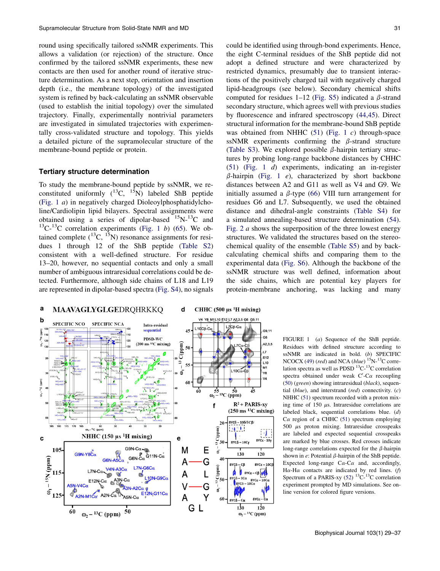<span id="page-2-0"></span>round using specifically tailored ssNMR experiments. This allows a validation (or rejection) of the structure. Once confirmed by the tailored ssNMR experiments, these new contacts are then used for another round of iterative structure determination. As a next step, orientation and insertion depth (i.e., the membrane topology) of the investigated system is refined by back-calculating an ssNMR observable (used to establish the initial topology) over the simulated trajectory. Finally, experimentally nontrivial parameters are investigated in simulated trajectories with experimentally cross-validated structure and topology. This yields a detailed picture of the supramolecular structure of the membrane-bound peptide or protein.

# Tertiary structure determination

To study the membrane-bound peptide by ssNMR, we reconstituted uniformly  $(^{13}C, ^{15}N)$  labeled ShB peptide (Fig. 1 a) in negatively charged Dioleoylphosphatidylcholine/Cardiolipin lipid bilayers. Spectral assignments were obtained using a series of dipolar-based  $^{15}N^{-13}C$  and  $^{13}$ C- $^{13}$ C correlation experiments (Fig. 1 b) ([65\)](#page-8-0). We obtained complete  $(^{13}C, ^{15}N)$  resonance assignments for residues 1 through 12 of the ShB peptide ([Table S2](#page-6-0)) consistent with a well-defined structure. For residue 13–20, however, no sequential contacts and only a small number of ambiguous intraresidual correlations could be detected. Furthermore, although side chains of L18 and L19 are represented in dipolar-based spectra [\(Fig. S4\)](#page-6-0), no signals could be identified using through-bond experiments. Hence, the eight C-terminal residues of the ShB peptide did not adopt a defined structure and were characterized by restricted dynamics, presumably due to transient interactions of the positively charged tail with negatively charged lipid-headgroups (see below). Secondary chemical shifts computed for residues 1–12 ([Fig. S5](#page-6-0)) indicated a  $\beta$ -strand secondary structure, which agrees well with previous studies by fluorescence and infrared spectroscopy [\(44,45\)](#page-8-0). Direct structural information for the membrane-bound ShB peptide was obtained from NHHC  $(51)$  $(51)$  (Fig. 1 c) through-space ssNMR experiments confirming the  $\beta$ -strand structure ([Table S3](#page-6-0)). We explored possible  $\beta$ -hairpin tertiary structures by probing long-range backbone distances by CHHC ([51\)](#page-8-0) (Fig. 1 d) experiments, indicating an in-register  $\beta$ -hairpin (Fig. 1 e), characterized by short backbone distances between A2 and G11 as well as V4 and G9. We initially assumed a  $\beta$ -type ([66\)](#page-8-0) VIII turn arrangement for residues G6 and L7. Subsequently, we used the obtained distance and dihedral-angle constraints ([Table S4](#page-6-0)) for a simulated annealing-based structure determination ([54\)](#page-8-0). [Fig. 2](#page-3-0)  $\alpha$  shows the superposition of the three lowest energy structures. We validated the structures based on the stereochemical quality of the ensemble [\(Table S5](#page-6-0)) and by backcalculating chemical shifts and comparing them to the experimental data [\(Fig. S6\)](#page-6-0). Although the backbone of the ssNMR structure was well defined, information about the side chains, which are potential key players for protein-membrane anchoring, was lacking and many



FIGURE 1 (a) Sequence of the ShB peptide. Residues with defined structure according to ssNMR are indicated in bold. (b) SPECIFIC NCOCX [\(49](#page-8-0)) (red) and NCA (blue)  $15$ N- $13$ C correlation spectra as well as PDSD  $^{13}$ C- $^{13}$ C correlation spectra obtained under weak  $C'$ -C $\alpha$  recoupling  $(50)$  $(50)$  (green) showing intraresidual (black), sequential ( $blue$ ), and interstrand (red) connectivity. (c) NHHC [\(51](#page-8-0)) spectrum recorded with a proton mixing time of 150  $\mu$ s. Intraresidue correlations are labeled black, sequential correlations blue. (d)  $C\alpha$  region of a CHHC [\(51](#page-8-0)) spectrum employing 500  $\mu$ s proton mixing. Intraresidue crosspeaks are labeled and expected sequential crosspeaks are marked by blue crosses. Red crosses indicate long-range correlations expected for the  $\beta$ -hairpin shown in  $e$ : Potential  $\beta$ -hairpin of the ShB peptide. Expected long-range  $C\alpha$ -C $\alpha$  and, accordingly,  $H\alpha$ -H $\alpha$  contacts are indicated by red lines. (f) Spectrum of a PARIS-xy  $(52)$  $(52)$  <sup>13</sup>C-<sup>13</sup>C correlation experiment prompted by MD simulations. See online version for colored figure versions.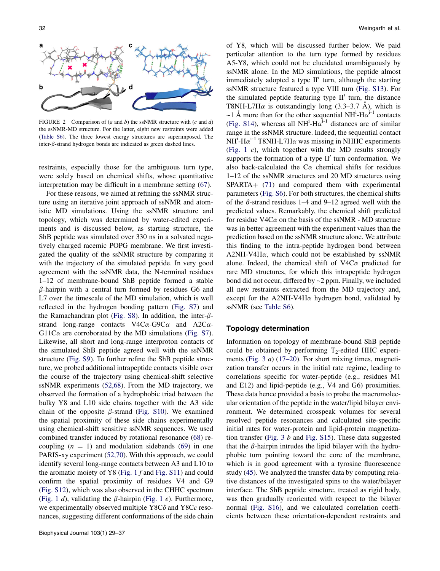<span id="page-3-0"></span>

FIGURE 2 Comparison of  $(a \text{ and } b)$  the ssNMR structure with  $(c \text{ and } d)$ the ssNMR-MD structure. For the latter, eight new restraints were added [\(Table S6](#page-6-0)). The three lowest energy structures are superimposed. The inter- $\beta$ -strand hydrogen bonds are indicated as green dashed lines.

restraints, especially those for the ambiguous turn type, were solely based on chemical shifts, whose quantitative interpretation may be difficult in a membrane setting ([67](#page-8-0)).

For these reasons, we aimed at refining the ssNMR structure using an iterative joint approach of ssNMR and atomistic MD simulations. Using the ssNMR structure and topology, which was determined by water-edited experiments and is discussed below, as starting structure, the ShB peptide was simulated over 330 ns in a solvated negatively charged racemic POPG membrane. We first investigated the quality of the ssNMR structure by comparing it with the trajectory of the simulated peptide. In very good agreement with the ssNMR data, the N-terminal residues 1–12 of membrane-bound ShB peptide formed a stable  $\beta$ -hairpin with a central turn formed by residues G6 and L7 over the timescale of the MD simulation, which is well reflected in the hydrogen bonding pattern ([Fig. S7\)](#page-6-0) and the Ramachandran plot ([Fig. S8\)](#page-6-0). In addition, the inter- $\beta$ strand long-range contacts  $V4C\alpha$ -G9C $\alpha$  and A2C $\alpha$ -G11C $\alpha$  are corroborated by the MD simulations [\(Fig. S7\)](#page-6-0). Likewise, all short and long-range interproton contacts of the simulated ShB peptide agreed well with the ssNMR structure ([Fig. S9\)](#page-6-0). To further refine the ShB peptide structure, we probed additional intrapeptide contacts visible over the course of the trajectory using chemical-shift selective ssNMR experiments ([52,68\)](#page-8-0). From the MD trajectory, we observed the formation of a hydrophobic triad between the bulky Y8 and L10 side chains together with the A3 side chain of the opposite  $\beta$ -strand [\(Fig. S10](#page-6-0)). We examined the spatial proximity of these side chains experimentally using chemical-shift sensitive ssNMR sequences. We used combined transfer induced by rotational resonance [\(68](#page-8-0)) recoupling  $(n = 1)$  and modulation sidebands ([69\)](#page-8-0) in one PARIS-xy experiment ([52,70](#page-8-0)). With this approach, we could identify several long-range contacts between A3 and L10 to the aromatic moiety of Y8 [\(Fig. 1](#page-2-0) f and [Fig. S11](#page-6-0)) and could confirm the spatial proximity of residues V4 and G9 ([Fig. S12\)](#page-6-0), which was also observed in the CHHC spectrum ([Fig. 1](#page-2-0) d), validating the  $\beta$ -hairpin (Fig. 1 e). Furthermore, we experimentally observed multiple Y8C $\delta$  and Y8C $\varepsilon$  resonances, suggesting different conformations of the side chain of Y8, which will be discussed further below. We paid particular attention to the turn type formed by residues A5-Y8, which could not be elucidated unambiguously by ssNMR alone. In the MD simulations, the peptide almost immediately adopted a type  $II'$  turn, although the starting ssNMR structure featured a type VIII turn ([Fig. S13\)](#page-6-0). For the simulated peptide featuring type  $II'$  turn, the distance T8NH-L7H $\alpha$  is outstandingly long (3.3–3.7 Å), which is ~1 Å more than for the other sequential NH<sup>i</sup>-H $\alpha^{i-1}$  contacts ([Fig. S14\)](#page-6-0), whereas all  $NH^1-Ha^{1-1}$  distances are of similar range in the ssNMR structure. Indeed, the sequential contact  $NH^{\tilde{i}}$ -H $\alpha^{i-1}$  T8NH-L7H $\alpha$  was missing in NHHC experiments ([Fig. 1](#page-2-0) c), which together with the MD results strongly supports the formation of a type  $II'$  turn conformation. We also back-calculated the  $C\alpha$  chemical shifts for residues 1–12 of the ssNMR structures and 20 MD structures using  $SPARTA+ (71)$  $SPARTA+ (71)$  $SPARTA+ (71)$  and compared them with experimental parameters ([Fig. S6](#page-6-0)). For both structures, the chemical shifts of the  $\beta$ -strand residues 1–4 and 9–12 agreed well with the predicted values. Remarkably, the chemical shift predicted for residue V4C $\alpha$  on the basis of the ssNMR - MD structure was in better agreement with the experiment values than the prediction based on the ssNMR structure alone. We attribute this finding to the intra-peptide hydrogen bond between  $A2NH-V4H\alpha$ , which could not be established by ssNMR alone. Indeed, the chemical shift of  $V4C\alpha$  predicted for rare MD structures, for which this intrapeptide hydrogen bond did not occur, differed by ~2 ppm. Finally, we included all new restraints extracted from the MD trajectory and, except for the A2NH-V4H $\alpha$  hydrogen bond, validated by ssNMR (see [Table S6\)](#page-6-0).

#### Topology determination

Information on topology of membrane-bound ShB peptide could be obtained by performing  $T_2$ -edited HHC experiments ([Fig. 3](#page-4-0) a) ([17–20\)](#page-7-0). For short mixing times, magnetization transfer occurs in the initial rate regime, leading to correlations specific for water-peptide (e.g., residues M1 and E12) and lipid-peptide (e.g., V4 and G6) proximities. These data hence provided a basis to probe the macromolecular orientation of the peptide in the water/lipid bilayer environment. We determined crosspeak volumes for several resolved peptide resonances and calculated site-specific initial rates for water-protein and lipid-protein magnetization transfer [\(Fig. 3](#page-4-0) b and [Fig. S15](#page-6-0)). These data suggested that the  $\beta$ -hairpin intrudes the lipid bilayer with the hydrophobic turn pointing toward the core of the membrane, which is in good agreement with a tyrosine fluorescence study [\(45](#page-8-0)). We analyzed the transfer data by computing relative distances of the investigated spins to the water/bilayer interface. The ShB peptide structure, treated as rigid body, was then gradually reoriented with respect to the bilayer normal ([Fig. S16](#page-6-0)), and we calculated correlation coefficients between these orientation-dependent restraints and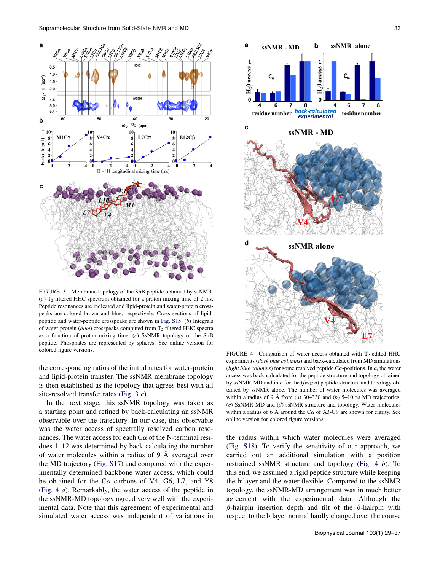<span id="page-4-0"></span>

FIGURE 3 Membrane topology of the ShB peptide obtained by ssNMR. (a)  $T_2$  filtered HHC spectrum obtained for a proton mixing time of 2 ms. Peptide resonances are indicated and lipid-protein and water-protein crosspeaks are colored brown and blue, respectively. Cross sections of lipidpeptide and water-peptide crosspeaks are shown in [Fig. S15](#page-6-0). (b) Integrals of water-protein ( $blue$ ) crosspeaks computed from  $T_2$  filtered HHC spectra as a function of proton mixing time. (c) SsNMR topology of the ShB peptide. Phosphates are represented by spheres. See online version for

the corresponding ratios of the initial rates for water-protein and lipid-protein transfer. The ssNMR membrane topology is then established as the topology that agrees best with all site-resolved transfer rates (Fig. 3 c).

In the next stage, this ssNMR topology was taken as a starting point and refined by back-calculating an ssNMR observable over the trajectory. In our case, this observable was the water access of spectrally resolved carbon resonances. The water access for each  $C\alpha$  of the N-terminal residues 1–12 was determined by back-calculating the number of water molecules within a radius of  $9 \text{ Å}$  averaged over the MD trajectory ([Fig. S17\)](#page-6-0) and compared with the experimentally determined backbone water access, which could be obtained for the  $C\alpha$  carbons of V4, G6, L7, and Y8 (Fig. 4 a). Remarkably, the water access of the peptide in the ssNMR-MD topology agreed very well with the experimental data. Note that this agreement of experimental and simulated water access was independent of variations in



colored figure versions.<br>
FIGURE 4 Comparison of water access obtained with T<sub>2</sub>-edited HHC experiments (dark blue columns) and back-calculated from MD simulations (light blue columns) for some resolved peptide  $C\alpha$ -positions. In a, the water access was back-calculated for the peptide structure and topology obtained by ssNMR-MD and in b for the (frozen) peptide structure and topology obtained by ssNMR alone. The number of water molecules was averaged within a radius of 9 Å from (a) 30–330 and (b) 5–10 ns MD trajectories. (c) SsNMR-MD and (d) ssNMR structure and topology. Water molecules within a radius of 6 A around the  $C\alpha$  of A3-G9 are shown for clarity. See online version for colored figure versions.

the radius within which water molecules were averaged ([Fig. S18](#page-6-0)). To verify the sensitivity of our approach, we carried out an additional simulation with a position restrained ssNMR structure and topology (Fig. 4 b). To this end, we assumed a rigid peptide structure while keeping the bilayer and the water flexible. Compared to the ssNMR topology, the ssNMR-MD arrangement was in much better agreement with the experimental data. Although the  $\beta$ -hairpin insertion depth and tilt of the  $\beta$ -hairpin with respect to the bilayer normal hardly changed over the course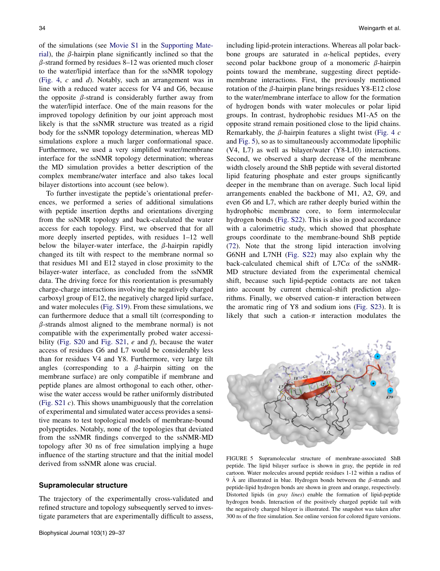<span id="page-5-0"></span>of the simulations (see Movie S1 in the [Supporting Mate](#page-6-0)[rial\)](#page-6-0), the  $\beta$ -hairpin plane significantly inclined so that the  $\beta$ -strand formed by residues 8–12 was oriented much closer to the water/lipid interface than for the ssNMR topology ([Fig. 4](#page-4-0), c and d). Notably, such an arrangement was in line with a reduced water access for V4 and G6, because the opposite  $\beta$ -strand is considerably further away from the water/lipid interface. One of the main reasons for the improved topology definition by our joint approach most likely is that the ssNMR structure was treated as a rigid body for the ssNMR topology determination, whereas MD simulations explore a much larger conformational space. Furthermore, we used a very simplified water/membrane interface for the ssNMR topology determination; whereas the MD simulation provides a better description of the complex membrane/water interface and also takes local bilayer distortions into account (see below).

To further investigate the peptide's orientational preferences, we performed a series of additional simulations with peptide insertion depths and orientations diverging from the ssNMR topology and back-calculated the water access for each topology. First, we observed that for all more deeply inserted peptides, with residues 1–12 well below the bilayer-water interface, the  $\beta$ -hairpin rapidly changed its tilt with respect to the membrane normal so that residues M1 and E12 stayed in close proximity to the bilayer-water interface, as concluded from the ssNMR data. The driving force for this reorientation is presumably charge-charge interactions involving the negatively charged carboxyl group of E12, the negatively charged lipid surface, and water molecules [\(Fig. S19\)](#page-6-0). From these simulations, we can furthermore deduce that a small tilt (corresponding to  $\beta$ -strands almost aligned to the membrane normal) is not compatible with the experimentally probed water accessi-bility ([Fig. S20](#page-6-0) and [Fig. S21,](#page-6-0)  $e$  and  $f$ ), because the water access of residues G6 and L7 would be considerably less than for residues V4 and Y8. Furthermore, very large tilt angles (corresponding to a  $\beta$ -hairpin sitting on the membrane surface) are only compatible if membrane and peptide planes are almost orthogonal to each other, otherwise the water access would be rather uniformly distributed ([Fig. S21](#page-6-0) c). This shows unambiguously that the correlation of experimental and simulated water access provides a sensitive means to test topological models of membrane-bound polypeptides. Notably, none of the topologies that deviated from the ssNMR findings converged to the ssNMR-MD topology after 30 ns of free simulation implying a huge influence of the starting structure and that the initial model derived from ssNMR alone was crucial.

#### Supramolecular structure

The trajectory of the experimentally cross-validated and refined structure and topology subsequently served to investigate parameters that are experimentally difficult to assess, including lipid-protein interactions. Whereas all polar backbone groups are saturated in  $\alpha$ -helical peptides, every second polar backbone group of a monomeric  $\beta$ -hairpin points toward the membrane, suggesting direct peptidemembrane interactions. First, the previously mentioned rotation of the  $\beta$ -hairpin plane brings residues Y8-E12 close to the water/membrane interface to allow for the formation of hydrogen bonds with water molecules or polar lipid groups. In contrast, hydrophobic residues M1-A5 on the opposite strand remain positioned close to the lipid chains. Remarkably, the  $\beta$ -hairpin features a slight twist [\(Fig. 4](#page-4-0) c) and Fig. 5), so as to simultaneously accommodate lipophilic (V4, L7) as well as bilayer/water (Y8-L10) interactions. Second, we observed a sharp decrease of the membrane width closely around the ShB peptide with several distorted lipid featuring phosphate and ester groups significantly deeper in the membrane than on average. Such local lipid arrangements enabled the backbone of M1, A2, G9, and even G6 and L7, which are rather deeply buried within the hydrophobic membrane core, to form intermolecular hydrogen bonds ([Fig. S22\)](#page-6-0). This is also in good accordance with a calorimetric study, which showed that phosphate groups coordinate to the membrane-bound ShB peptide ([72\)](#page-8-0). Note that the strong lipid interaction involving G6NH and L7NH [\(Fig. S22](#page-6-0)) may also explain why the back-calculated chemical shift of  $L7C\alpha$  of the ssNMR-MD structure deviated from the experimental chemical shift, because such lipid-peptide contacts are not taken into account by current chemical-shift prediction algorithms. Finally, we observed cation- $\pi$  interaction between the aromatic ring of Y8 and sodium ions [\(Fig. S23](#page-6-0)). It is likely that such a cation- $\pi$  interaction modulates the



FIGURE 5 Supramolecular structure of membrane-associated ShB peptide. The lipid bilayer surface is shown in gray, the peptide in red cartoon. Water molecules around peptide residues 1-12 within a radius of 9 Å are illustrated in blue. Hydrogen bonds between the  $\beta$ -strands and peptide-lipid hydrogen bonds are shown in green and orange, respectively. Distorted lipids (in gray lines) enable the formation of lipid-peptide hydrogen bonds. Interaction of the positively charged peptide tail with the negatively charged bilayer is illustrated. The snapshot was taken after 300 ns of the free simulation. See online version for colored figure versions.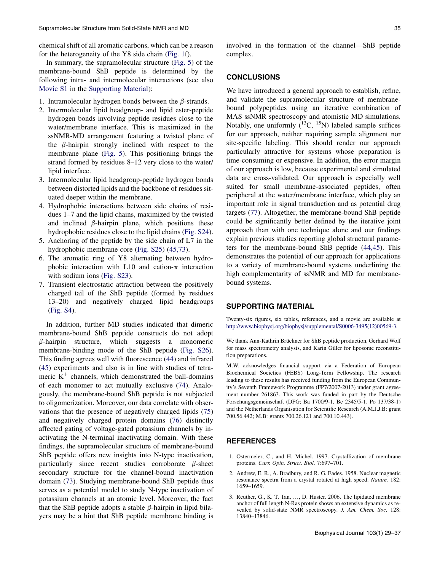<span id="page-6-0"></span>chemical shift of all aromatic carbons, which can be a reason for the heterogeneity of the Y8 side chain ([Fig. 1f](#page-2-0)).

In summary, the supramolecular structure ([Fig. 5](#page-5-0)) of the membrane-bound ShB peptide is determined by the following intra- and intermolecular interactions (see also Movie S1 in the Supporting Material):

- 1. Intramolecular hydrogen bonds between the  $\beta$ -strands.
- 2. Intermolecular lipid headgroup- and lipid ester-peptide hydrogen bonds involving peptide residues close to the water/membrane interface. This is maximized in the ssNMR-MD arrangement featuring a twisted plane of the  $\beta$ -hairpin strongly inclined with respect to the membrane plane ([Fig. 5](#page-5-0)). This positioning brings the strand formed by residues 8–12 very close to the water/ lipid interface.
- 3. Intermolecular lipid headgroup-peptide hydrogen bonds between distorted lipids and the backbone of residues situated deeper within the membrane.
- 4. Hydrophobic interactions between side chains of residues 1–7 and the lipid chains, maximized by the twisted and inclined  $\beta$ -hairpin plane, which positions these hydrophobic residues close to the lipid chains (Fig. S24).
- 5. Anchoring of the peptide by the side chain of L7 in the hydrophobic membrane core (Fig. S25) [\(45,73\)](#page-8-0).
- 6. The aromatic ring of Y8 alternating between hydrophobic interaction with L10 and cation- $\pi$  interaction with sodium ions (Fig. S23).
- 7. Transient electrostatic attraction between the positively charged tail of the ShB peptide (formed by residues 13–20) and negatively charged lipid headgroups (Fig. S4).

In addition, further MD studies indicated that dimeric membrane-bound ShB peptide constructs do not adopt  $\beta$ -hairpin structure, which suggests a monomeric membrane-binding mode of the ShB peptide (Fig. S26). This finding agrees well with fluorescence [\(44](#page-8-0)) and infrared ([45\)](#page-8-0) experiments and also is in line with studies of tetrameric  $K^+$  channels, which demonstrated the ball-domains of each monomer to act mutually exclusive ([74\)](#page-8-0). Analogously, the membrane-bound ShB peptide is not subjected to oligomerization. Moreover, our data correlate with observations that the presence of negatively charged lipids [\(75](#page-8-0)) and negatively charged protein domains ([76](#page-8-0)) distinctly affected gating of voltage-gated potassium channels by inactivating the N-terminal inactivating domain. With these findings, the supramolecular structure of membrane-bound ShB peptide offers new insights into N-type inactivation, particularly since recent studies corroborate  $\beta$ -sheet secondary structure for the channel-bound inactivation domain [\(73](#page-8-0)). Studying membrane-bound ShB peptide thus serves as a potential model to study N-type inactivation of potassium channels at an atomic level. Moreover, the fact that the ShB peptide adopts a stable  $\beta$ -hairpin in lipid bilayers may be a hint that ShB peptide membrane binding is involved in the formation of the channel—ShB peptide complex.

## **CONCLUSIONS**

We have introduced a general approach to establish, refine, and validate the supramolecular structure of membranebound polypeptides using an iterative combination of MAS ssNMR spectroscopy and atomistic MD simulations. Notably, one uniformly  $(13)$ C,  $15$ N) labeled sample suffices for our approach, neither requiring sample alignment nor site-specific labeling. This should render our approach particularly attractive for systems whose preparation is time-consuming or expensive. In addition, the error margin of our approach is low, because experimental and simulated data are cross-validated. Our approach is especially well suited for small membrane-associated peptides, often peripheral at the water/membrane interface, which play an important role in signal transduction and as potential drug targets ([77\)](#page-8-0). Altogether, the membrane-bound ShB peptide could be significantly better defined by the iterative joint approach than with one technique alone and our findings explain previous studies reporting global structural parameters for the membrane-bound ShB peptide ([44,45](#page-8-0)). This demonstrates the potential of our approach for applications to a variety of membrane-bound systems underlining the high complementarity of ssNMR and MD for membranebound systems.

### SUPPORTING MATERIAL

Twenty-six figures, six tables, references, and a movie are available at [http://www.biophysj.org/biophysj/supplemental/S0006-3495\(12\)00569-3](http://www.biophysj.org/biophysj/supplemental/S0006-3495(12)00569-3).

We thank Ann-Kathrin Brückner for ShB peptide production, Gerhard Wolf for mass spectrometry analysis, and Karin Giller for liposome reconstitution preparations.

M.W. acknowledges financial support via a Federation of European Biochemical Societies (FEBS) Long-Term Fellowship. The research leading to these results has received funding from the European Community's Seventh Framework Programme (FP7/2007-2013) under grant agreement number 261863. This work was funded in part by the Deutsche Forschungsgemeinschaft (DFG; Ba 1700/9-1, Be 2345/5-1, Po 137/38-1) and the Netherlands Organisation for Scientific Research (A.M.J.J.B: grant 700.56.442; M.B: grants 700.26.121 and 700.10.443).

## REFERENCES

- 1. Ostermeier, C., and H. Michel. 1997. Crystallization of membrane proteins. Curr. Opin. Struct. Biol. 7:697–701.
- 2. Andrew, E. R., A. Bradbury, and R. G. Eades. 1958. Nuclear magnetic resonance spectra from a crystal rotated at high speed. Nature. 182: 1659–1659.
- 3. Reuther, G., K. T. Tan, ., D. Huster. 2006. The lipidated membrane anchor of full length N-Ras protein shows an extensive dynamics as revealed by solid-state NMR spectroscopy. J. Am. Chem. Soc. 128: 13840–13846.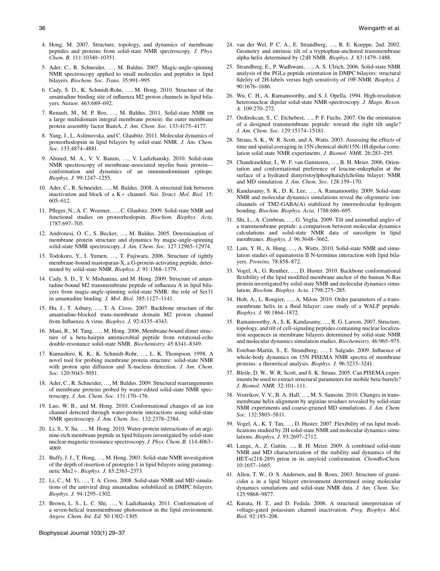- <span id="page-7-0"></span>4. Hong, M. 2007. Structure, topology, and dynamics of membrane peptides and proteins from solid-state NMR spectroscopy. J. Phys. Chem. B. 111:10340–10351.
- 5. Ader, C., R. Schneider, ..., M. Baldus. 2007. Magic-angle-spinning NMR spectroscopy applied to small molecules and peptides in lipid bilayers. Biochem. Soc. Trans. 35:991–995.
- 6. Cady, S. D., K. Schmidt-Rohr, ., M. Hong. 2010. Structure of the amantadine binding site of influenza M2 proton channels in lipid bilayers. Nature. 463:689–692.
- 7. Renault, M., M. P. Bos, ..., M. Baldus. 2011. Solid-state NMR on a large multidomain integral membrane protein: the outer membrane protein assembly factor BamA. J. Am. Chem. Soc. 133:4175–4177.
- 8. Yang, J., L. Aslimovska, and C. Glaubitz. 2011. Molecular dynamics of proteorhodopsin in lipid bilayers by solid-state NMR. J. Am. Chem. Soc. 133:4874–4881.
- 9. Ahmed, M. A., V. V. Bamm, ..., V. Ladizhansky. 2010. Solid-state NMR spectroscopy of membrane-associated myelin basic protein conformation and dynamics of an immunodominant epitope. Biophys. J. 99:1247–1255.
- 10. Ader, C., R. Schneider, ..., M. Baldus. 2008. A structural link between inactivation and block of a  $K+$  channel. Nat. Struct. Mol. Biol. 15: 605–612.
- 11. Pfleger, N., A. C. Woerner, ., C. Glaubitz. 2009. Solid-state NMR and functional studies on proteorhodopsin. Biochem. Biophys. Acta. 1787:697–705.
- 12. Andronesi, O. C., S. Becker, ..., M. Baldus. 2005. Determination of membrane protein structure and dynamics by magic-angle-spinning solid-state NMR spectroscopy. J. Am. Chem. Soc. 127:12965–12974.
- 13. Todokoro, Y., I. Yumen, ..., T. Fujiwara. 2006. Structure of tightly membrane-bound mastoparan-X, a G-protein-activating peptide, determined by solid-state NMR. Biophys. J. 91:1368–1379.
- 14. Cady, S. D., T. V. Mishanina, and M. Hong. 2009. Structure of amantadine-bound M2 transmembrane peptide of influenza A in lipid bilayers from magic-angle-spinning solid-state NMR: the role of Ser31 in amantadine binding. J. Mol. Biol. 385:1127–1141.
- 15. Hu, J., T. Asbury, ., T. A. Cross. 2007. Backbone structure of the amantadine-blocked trans-membrane domain M2 proton channel from Influenza A virus. Biophys. J. 92:4335–4343.
- 16. Mani, R., M. Tang, ..., M. Hong. 2006. Membrane-bound dimer structure of a beta-hairpin antimicrobial peptide from rotational-echo double-resonance solid-state NMR. Biochemistry. 45:8341–8349.
- 17. Kumashiro, K. K., K. Schmidt-Rohr, ., L. K. Thompson. 1998. A novel tool for probing membrane protein structure: solid-state NMR with proton spin diffusion and X-nucleus detection. J. Am. Chem. Soc. 120:5043-5051.
- 18. Ader, C., R. Schneider, ..., M. Baldus. 2009. Structural rearrangements of membrane proteins probed by water-edited solid-state NMR spectroscopy. J. Am. Chem. Soc. 131:170–176.
- 19. Luo, W. B., and M. Hong. 2010. Conformational changes of an ion channel detected through water-protein interactions using solid-state NMR spectroscopy. J. Am. Chem. Soc. 132:2378–2384.
- 20. Li, S., Y. Su, ., M. Hong. 2010. Water-protein interactions of an arginine-rich membrane peptide in lipid bilayers investigated by solid-state nuclear magnetic resonance spectroscopy. J. Phys. Chem. B. 114:4063– 4069.
- 21. Buffy, J. J., T. Hong, ., M. Hong. 2003. Solid-state NMR investigation of the depth of insertion of protegrin-1 in lipid bilayers using paramagnetic Mn2+. Biophys. J. 85:2363-2373.
- 22. Li, C., M. Yi, ., T. A. Cross. 2008. Solid-state NMR and MD simulations of the antiviral drug amantadine solubilized in DMPC bilayers. Biophys. J. 94:1295–1302.
- 23. Brown, L. S., L. C. Shi, ., V. Ladizhansky. 2011. Conformation of a seven-helical transmembrane photosensor in the lipid environment. Angew. Chem. Int. Ed. 50:1302–1305.
- Biophysical Journal 103(1) 29–37
- 24. van der Wel, P. C. A., E. Strandberg, ..., R. E. Koeppe, 2nd. 2002. Geometry and intrinsic tilt of a tryptophan-anchored transmembrane alpha-helix determined by (2)H NMR. Biophys. J. 83:1479–1488.
- 25. Strandberg, E., P. Wadhwani, ., A. S. Ulrich. 2006. Solid-state NMR analysis of the PGLa peptide orientation in DMPC bilayers: structural fidelity of 2H-labels versus high sensitivity of 19F-NMR. Biophys. J. 90:1676–1686.
- 26. Wu, C. H., A. Ramamoorthy, and S. J. Opella. 1994. High-resolution heteronuclear dipolar solid-state NMR-spectroscopy. J. Magn. Reson. A. 109:270–272.
- 27. Ozdirekcan, S., C. Etchebest, ., P. F. Fuchs. 2007. On the orientation of a designed transmembrane peptide: toward the right tilt angle? J. Am. Chem. Soc. 129:15174–15181.
- 28. Straus, S. K., W. R. Scott, and A. Watts. 2003. Assessing the effects of time and spatial averaging in 15N chemical shift/15N-1H dipolar correlation solid state NMR experiments. J. Biomol. NMR. 26:283–295.
- 29. Chandrasekhar, I., W. F. van Gunsteren, ..., B. H. Meier. 2006. Orientation and conformational preference of leucine-enkephalin at the surface of a hydrated dimyristoylphosphatidylcholine bilayer: NMR and MD simulation. J. Am. Chem. Soc. 128:159–170.
- 30. Kandasamy, S. K., D. K. Lee, ..., A. Ramamoorthy. 2009. Solid-state NMR and molecular dynamics simulations reveal the oligomeric ionchannels of TM2-GABA(A) stabilized by intermolecular hydrogen bonding. Biochim. Biophys. Acta. 1788:686–695.
- 31. Shi, L., A. Cembran, ..., G. Veglia. 2009. Tilt and azimuthal angles of a transmembrane peptide: a comparison between molecular dynamics calculations and solid-state NMR data of sarcolipin in lipid membranes. Biophys. J. 96:3648–3662.
- 32. Lam, Y. H., A. Hung, ..., A. Watts. 2010. Solid-state NMR and simulation studies of equinatoxin II N-terminus interaction with lipid bilayers. Proteins. 78:858–872.
- 33. Vogel, A., G. Reuther, ..., D. Huster. 2010. Backbone conformational flexibility of the lipid modified membrane anchor of the human N-Ras protein investigated by solid-state NMR and molecular dynamics simulation. Biochim. Biophys. Acta. 1798:275–285.
- 34. Holt, A., L. Rougier, ..., A. Milon. 2010. Order parameters of a transmembrane helix in a fluid bilayer: case study of a WALP peptide. Biophys. J. 98:1864–1872.
- 35. Ramamoorthy, A., S. K. Kandasamy, ., R. G. Larson. 2007. Structure, topology, and tilt of cell-signaling peptides containing nuclear localization sequences in membrane bilayers determined by solid-state NMR and molecular dynamics simulation studies. Biochemistry. 46:965–975.
- 36. Esteban-Martín, S., E. Strandberg, ..., J. Salgado. 2009. Influence of whole-body dynamics on 15N PISEMA NMR spectra of membrane proteins: a theoretical analysis. Biophys. J. 96:3233–3241.
- 37. Bleile, D. W., W. R. Scott, and S. K. Straus. 2005. Can PISEMA experiments be used to extract structural parameters for mobile beta-barrels? J. Biomol. NMR. 32:101–111.
- 38. Vostrikov, V. V., B. A. Hall, ..., M. S. Sansom. 2010. Changes in transmembrane helix alignment by arginine residues revealed by solid-state NMR experiments and coarse-grained MD simulations. J. Am. Chem. Soc. 132:5803–5811.
- 39. Vogel, A., K. T. Tan, ..., D. Huster. 2007. Flexibility of ras lipid modifications studied by 2H solid-state NMR and molecular dynamics simulations. Biophys. J. 93:2697–2712.
- 40. Lange, A., Z. Gattin, ..., B. H. Meier. 2009. A combined solid-state NMR and MD characterization of the stability and dynamics of the HET-s(218-289) prion in its amyloid conformation. *ChemBioChem*. 10:1657–1665.
- 41. Allen, T. W., O. S. Andersen, and B. Roux. 2003. Structure of gramicidin a in a lipid bilayer environment determined using molecular dynamics simulations and solid-state NMR data. J. Am. Chem. Soc. 125:9868–9877.
- 42. Kurata, H. T., and D. Fedida. 2006. A structural interpretation of voltage-gated potassium channel inactivation. Prog. Biophys. Mol. Biol. 92:185–208.